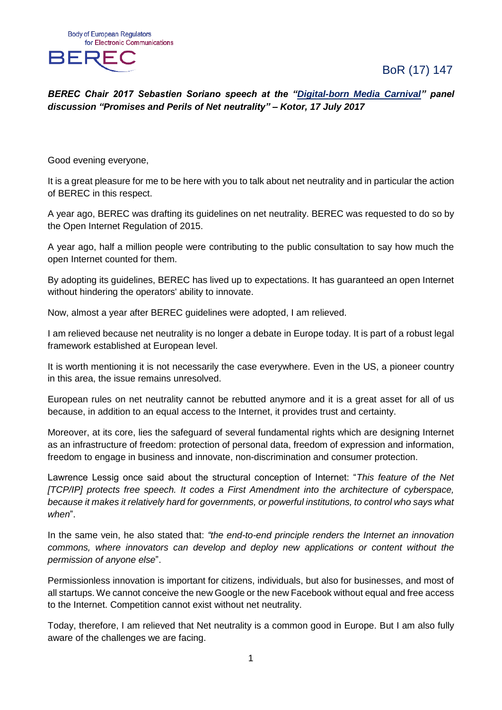BoR (17) 147



*BEREC Chair 2017 Sebastien Soriano speech at the ["Digital-born Media Carnival"](http://www.shareconference.net/carnival/) panel discussion "Promises and Perils of Net neutrality" – Kotor, 17 July 2017*

Good evening everyone,

It is a great pleasure for me to be here with you to talk about net neutrality and in particular the action of BEREC in this respect.

A year ago, BEREC was drafting its guidelines on net neutrality. BEREC was requested to do so by the Open Internet Regulation of 2015.

A year ago, half a million people were contributing to the public consultation to say how much the open Internet counted for them.

By adopting its guidelines, BEREC has lived up to expectations. It has guaranteed an open Internet without hindering the operators' ability to innovate.

Now, almost a year after BEREC guidelines were adopted, I am relieved.

I am relieved because net neutrality is no longer a debate in Europe today. It is part of a robust legal framework established at European level.

It is worth mentioning it is not necessarily the case everywhere. Even in the US, a pioneer country in this area, the issue remains unresolved.

European rules on net neutrality cannot be rebutted anymore and it is a great asset for all of us because, in addition to an equal access to the Internet, it provides trust and certainty.

Moreover, at its core, lies the safeguard of several fundamental rights which are designing Internet as an infrastructure of freedom: protection of personal data, freedom of expression and information, freedom to engage in business and innovate, non-discrimination and consumer protection.

Lawrence Lessig once said about the structural conception of Internet: "*This feature of the Net [TCP/IP] protects free speech. It codes a First Amendment into the architecture of cyberspace, because it makes it relatively hard for governments, or powerful institutions, to control who says what when*".

In the same vein, he also stated that: *"the end-to-end principle renders the Internet an innovation commons, where innovators can develop and deploy new applications or content without the permission of anyone else*".

Permissionless innovation is important for citizens, individuals, but also for businesses, and most of all startups. We cannot conceive the new Google or the new Facebook without equal and free access to the Internet. Competition cannot exist without net neutrality.

Today, therefore, I am relieved that Net neutrality is a common good in Europe. But I am also fully aware of the challenges we are facing.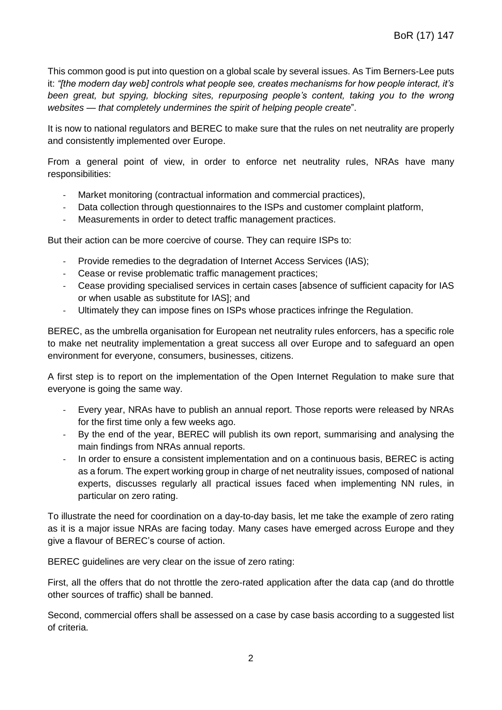This common good is put into question on a global scale by several issues. As Tim Berners-Lee puts it: *"[the modern day web] controls what people see, creates mechanisms for how people interact, it's been great, but spying, blocking sites, repurposing people's content, taking you to the wrong websites — that completely undermines the spirit of helping people create*".

It is now to national regulators and BEREC to make sure that the rules on net neutrality are properly and consistently implemented over Europe.

From a general point of view, in order to enforce net neutrality rules, NRAs have many responsibilities:

- Market monitoring (contractual information and commercial practices),
- Data collection through questionnaires to the ISPs and customer complaint platform,
- Measurements in order to detect traffic management practices.

But their action can be more coercive of course. They can require ISPs to:

- Provide remedies to the degradation of Internet Access Services (IAS);
- Cease or revise problematic traffic management practices;
- Cease providing specialised services in certain cases [absence of sufficient capacity for IAS or when usable as substitute for IAS]; and
- Ultimately they can impose fines on ISPs whose practices infringe the Regulation.

BEREC, as the umbrella organisation for European net neutrality rules enforcers, has a specific role to make net neutrality implementation a great success all over Europe and to safeguard an open environment for everyone, consumers, businesses, citizens.

A first step is to report on the implementation of the Open Internet Regulation to make sure that everyone is going the same way.

- Every year, NRAs have to publish an annual report. Those reports were released by NRAs for the first time only a few weeks ago.
- By the end of the year, BEREC will publish its own report, summarising and analysing the main findings from NRAs annual reports.
- In order to ensure a consistent implementation and on a continuous basis, BEREC is acting as a forum. The expert working group in charge of net neutrality issues, composed of national experts, discusses regularly all practical issues faced when implementing NN rules, in particular on zero rating.

To illustrate the need for coordination on a day-to-day basis, let me take the example of zero rating as it is a major issue NRAs are facing today. Many cases have emerged across Europe and they give a flavour of BEREC's course of action.

BEREC guidelines are very clear on the issue of zero rating:

First, all the offers that do not throttle the zero-rated application after the data cap (and do throttle other sources of traffic) shall be banned.

Second, commercial offers shall be assessed on a case by case basis according to a suggested list of criteria.